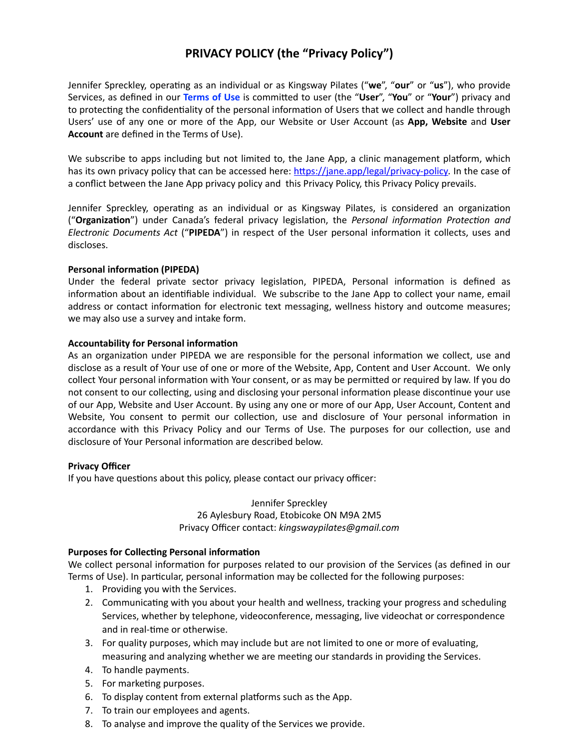# **PRIVACY POLICY (the "Privacy Policy")**

Jennifer Spreckley, operating as an individual or as Kingsway Pilates ("we", "our" or "us"), who provide Services, as defined in our Terms of Use is committed to user (the "User", "You" or "Your") privacy and to protecting the confidentiality of the personal information of Users that we collect and handle through Users' use of any one or more of the App, our Website or User Account (as App, Website and User Account are defined in the Terms of Use).

We subscribe to apps including but not limited to, the Jane App, a clinic management platform, which has its own privacy policy that can be accessed here: https://jane.app/legal/privacy-policy. In the case of a conflict between the Jane App privacy policy and this Privacy Policy, this Privacy Policy prevails.

Jennifer Spreckley, operating as an individual or as Kingsway Pilates, is considered an organization ("Organization") under Canada's federal privacy legislation, the Personal information Protection and Electronic Documents Act ("PIPEDA") in respect of the User personal information it collects, uses and discloses.

## **Personal information (PIPEDA)**

Under the federal private sector privacy legislation, PIPEDA, Personal information is defined as information about an identifiable individual. We subscribe to the Jane App to collect your name, email address or contact information for electronic text messaging, wellness history and outcome measures; we may also use a survey and intake form.

## **Accountability for Personal information**

As an organization under PIPEDA we are responsible for the personal information we collect, use and disclose as a result of Your use of one or more of the Website, App, Content and User Account. We only collect Your personal information with Your consent, or as may be permitted or required by law. If you do not consent to our collecting, using and disclosing your personal information please discontinue your use of our App, Website and User Account. By using any one or more of our App, User Account, Content and Website, You consent to permit our collection, use and disclosure of Your personal information in accordance with this Privacy Policy and our Terms of Use. The purposes for our collection, use and disclosure of Your Personal information are described below.

# **Privacy Officer**

If you have questions about this policy, please contact our privacy officer:

Jennifer Spreckley 26 Aylesbury Road, Etobicoke ON M9A 2M5 Privacy Officer contact: kingswaypilates@gmail.com

# **Purposes for Collecting Personal information**

We collect personal information for purposes related to our provision of the Services (as defined in our Terms of Use). In particular, personal information may be collected for the following purposes:

- 1. Providing you with the Services.
- 2. Communicating with you about your health and wellness, tracking your progress and scheduling Services, whether by telephone, videoconference, messaging, live videochat or correspondence and in real-time or otherwise.
- 3. For quality purposes, which may include but are not limited to one or more of evaluating, measuring and analyzing whether we are meeting our standards in providing the Services.
- 4. To handle payments.
- 5. For marketing purposes.
- 6. To display content from external platforms such as the App.
- 7. To train our employees and agents.
- 8. To analyse and improve the quality of the Services we provide.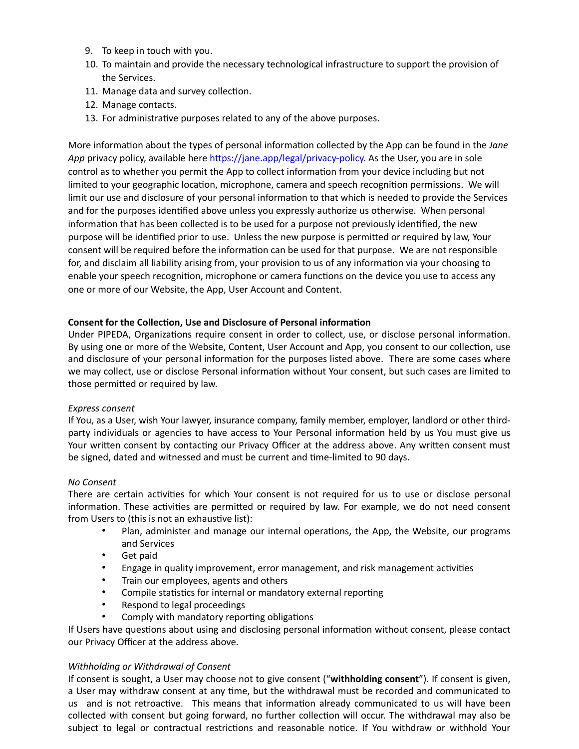- 9. To keep in touch with you.
- 10. To maintain and provide the necessary technological infrastructure to support the provision of the Services.
- 11. Manage data and survey collection.
- 12. Manage contacts.
- 13. For administrative purposes related to any of the above purposes.

More information about the types of personal information collected by the App can be found in the Jane App privacy policy, available here https://jane.app/legal/privacy-policy. As the User, you are in sole control as to whether you permit the App to collect information from your device including but not limited to your geographic location, microphone, camera and speech recognition permissions. We will limit our use and disclosure of your personal information to that which is needed to provide the Services and for the purposes identified above unless you expressly authorize us otherwise. When personal information that has been collected is to be used for a purpose not previously identified, the new purpose will be identified prior to use. Unless the new purpose is permitted or required by law, Your consent will be required before the information can be used for that purpose. We are not responsible for, and disclaim all liability arising from, your provision to us of any information via your choosing to enable your speech recognition, microphone or camera functions on the device you use to access any one or more of our Website, the App, User Account and Content.

# Consent for the Collection, Use and Disclosure of Personal information

Under PIPEDA, Organizations require consent in order to collect, use, or disclose personal information. By using one or more of the Website, Content, User Account and App, you consent to our collection, use and disclosure of your personal information for the purposes listed above. There are some cases where we may collect, use or disclose Personal information without Your consent, but such cases are limited to those permitted or required by law.

# Express consent

If You, as a User, wish Your lawyer, insurance company, family member, employer, landlord or other thirdparty individuals or agencies to have access to Your Personal information held by us You must give us Your written consent by contacting our Privacy Officer at the address above. Any written consent must be signed, dated and witnessed and must be current and time-limited to 90 days.

# No Consent

There are certain activities for which Your consent is not required for us to use or disclose personal information. These activities are permitted or required by law. For example, we do not need consent from Users to (this is not an exhaustive list):

- Plan, administer and manage our internal operations, the App, the Website, our programs  $\bullet$ and Services
- $\bullet$ Get paid
- $\bullet$  . Engage in quality improvement, error management, and risk management activities
- Train our employees, agents and others
- $\bullet$ Compile statistics for internal or mandatory external reporting
- Respond to legal proceedings
- Comply with mandatory reporting obligations

If Users have questions about using and disclosing personal information without consent, please contact our Privacy Officer at the address above.

## Withholding or Withdrawal of Consent

If consent is sought, a User may choose not to give consent ("withholding consent"). If consent is given, a User may withdraw consent at any time, but the withdrawal must be recorded and communicated to us and is not retroactive. This means that information already communicated to us will have been collected with consent but going forward, no further collection will occur. The withdrawal may also be subject to legal or contractual restrictions and reasonable notice. If You withdraw or withhold Your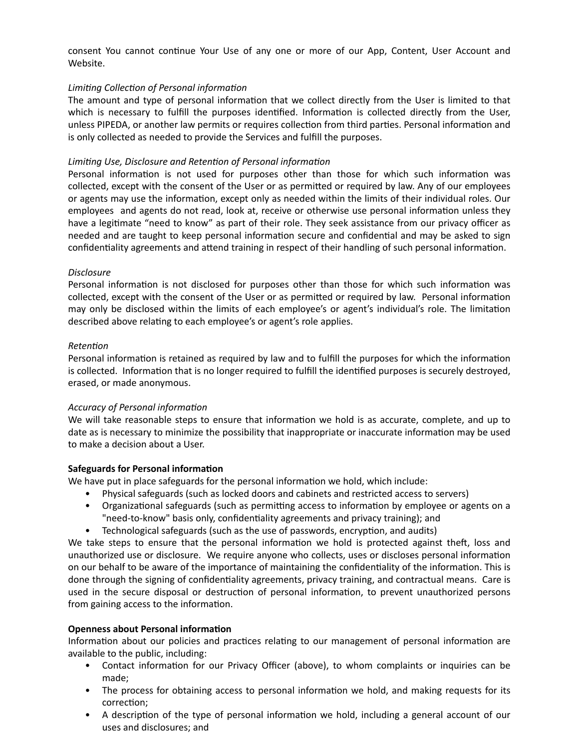consent You cannot continue Your Use of any one or more of our App, Content, User Account and Website.

# Limiting Collection of Personal information

The amount and type of personal information that we collect directly from the User is limited to that which is necessary to fulfill the purposes identified. Information is collected directly from the User, unless PIPEDA, or another law permits or requires collection from third parties. Personal information and is only collected as needed to provide the Services and fulfill the purposes.

## Limiting Use, Disclosure and Retention of Personal information

Personal information is not used for purposes other than those for which such information was collected, except with the consent of the User or as permitted or required by law. Any of our employees or agents may use the information, except only as needed within the limits of their individual roles. Our employees and agents do not read, look at, receive or otherwise use personal information unless they have a legitimate "need to know" as part of their role. They seek assistance from our privacy officer as needed and are taught to keep personal information secure and confidential and may be asked to sign confidentiality agreements and attend training in respect of their handling of such personal information.

## **Disclosure**

Personal information is not disclosed for purposes other than those for which such information was collected, except with the consent of the User or as permitted or required by law. Personal information may only be disclosed within the limits of each employee's or agent's individual's role. The limitation described above relating to each employee's or agent's role applies.

## Retention

Personal information is retained as required by law and to fulfill the purposes for which the information is collected. Information that is no longer required to fulfill the identified purposes is securely destroyed, erased, or made anonymous.

## **Accuracy of Personal information**

We will take reasonable steps to ensure that information we hold is as accurate, complete, and up to date as is necessary to minimize the possibility that inappropriate or inaccurate information may be used to make a decision about a User.

## **Safeguards for Personal information**

We have put in place safeguards for the personal information we hold, which include:

- Physical safeguards (such as locked doors and cabinets and restricted access to servers)
- Organizational safeguards (such as permitting access to information by employee or agents on a "need-to-know" basis only, confidentiality agreements and privacy training); and
- Technological safeguards (such as the use of passwords, encryption, and audits)

We take steps to ensure that the personal information we hold is protected against theft, loss and unauthorized use or disclosure. We require anyone who collects, uses or discloses personal information on our behalf to be aware of the importance of maintaining the confidentiality of the information. This is done through the signing of confidentiality agreements, privacy training, and contractual means. Care is used in the secure disposal or destruction of personal information, to prevent unauthorized persons from gaining access to the information.

## **Openness about Personal information**

Information about our policies and practices relating to our management of personal information are available to the public, including:

- Contact information for our Privacy Officer (above), to whom complaints or inquiries can be made;
- The process for obtaining access to personal information we hold, and making requests for its correction;
- A description of the type of personal information we hold, including a general account of our uses and disclosures; and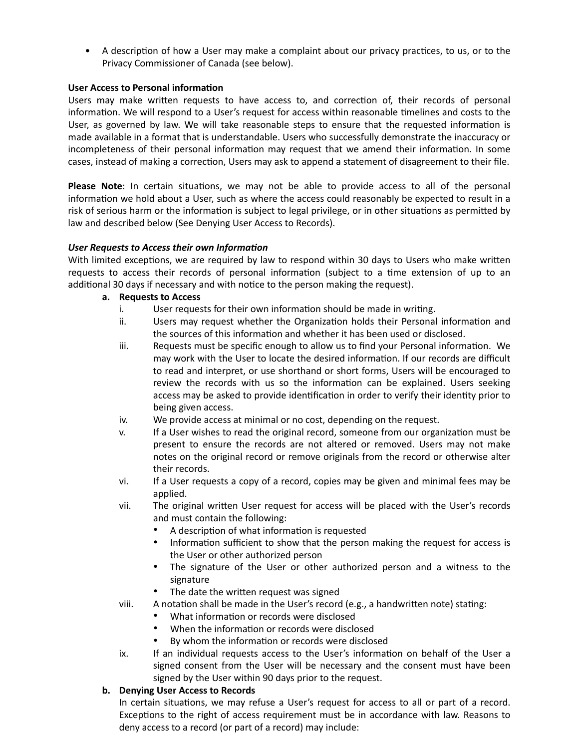• A description of how a User may make a complaint about our privacy practices, to us, or to the Privacy Commissioner of Canada (see below).

# **User Access to Personal information**

Users may make written requests to have access to, and correction of, their records of personal information. We will respond to a User's request for access within reasonable timelines and costs to the User, as governed by law. We will take reasonable steps to ensure that the requested information is made available in a format that is understandable. Users who successfully demonstrate the inaccuracy or incompleteness of their personal information may request that we amend their information. In some cases, instead of making a correction, Users may ask to append a statement of disagreement to their file.

Please Note: In certain situations, we may not be able to provide access to all of the personal information we hold about a User, such as where the access could reasonably be expected to result in a risk of serious harm or the information is subject to legal privilege, or in other situations as permitted by law and described below (See Denying User Access to Records).

# User Requests to Access their own Information

With limited exceptions, we are required by law to respond within 30 days to Users who make written requests to access their records of personal information (subject to a time extension of up to an additional 30 days if necessary and with notice to the person making the request).

# a. Requests to Access

- i. User requests for their own information should be made in writing.
- ii. Users may request whether the Organization holds their Personal information and the sources of this information and whether it has been used or disclosed.
- iii. Requests must be specific enough to allow us to find your Personal information. We may work with the User to locate the desired information. If our records are difficult to read and interpret, or use shorthand or short forms, Users will be encouraged to review the records with us so the information can be explained. Users seeking access may be asked to provide identification in order to verify their identity prior to being given access.
- iv. We provide access at minimal or no cost, depending on the request.
- V. If a User wishes to read the original record, someone from our organization must be present to ensure the records are not altered or removed. Users may not make notes on the original record or remove originals from the record or otherwise alter their records.
- vi. If a User requests a copy of a record, copies may be given and minimal fees may be applied.
- The original written User request for access will be placed with the User's records vii. and must contain the following:
	- A description of what information is requested
	- $\bullet$ Information sufficient to show that the person making the request for access is the User or other authorized person
	- The signature of the User or other authorized person and a witness to the signature
	- The date the written request was signed
	- A notation shall be made in the User's record (e.g., a handwritten note) stating:
		- What information or records were disclosed
		- When the information or records were disclosed
		- By whom the information or records were disclosed
- ix. If an individual requests access to the User's information on behalf of the User a signed consent from the User will be necessary and the consent must have been signed by the User within 90 days prior to the request.

# b. Denying User Access to Records

viii.

In certain situations, we may refuse a User's request for access to all or part of a record. Exceptions to the right of access requirement must be in accordance with law. Reasons to deny access to a record (or part of a record) may include: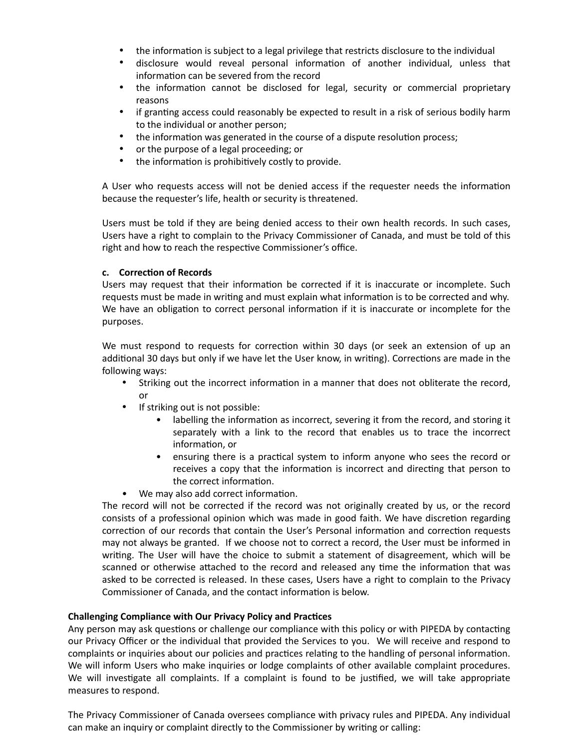- the information is subject to a legal privilege that restricts disclosure to the individual
- $\bullet$ disclosure would reveal personal information of another individual, unless that information can be severed from the record
- the information cannot be disclosed for legal, security or commercial proprietary reasons
- $\bullet$ if granting access could reasonably be expected to result in a risk of serious bodily harm to the individual or another person;
- $\bullet$ the information was generated in the course of a dispute resolution process;
- or the purpose of a legal proceeding; or
- $\bullet$ the information is prohibitively costly to provide.

A User who requests access will not be denied access if the requester needs the information because the requester's life, health or security is threatened.

Users must be told if they are being denied access to their own health records. In such cases, Users have a right to complain to the Privacy Commissioner of Canada, and must be told of this right and how to reach the respective Commissioner's office.

## c. Correction of Records

Users may request that their information be corrected if it is inaccurate or incomplete. Such requests must be made in writing and must explain what information is to be corrected and why. We have an obligation to correct personal information if it is inaccurate or incomplete for the purposes.

We must respond to requests for correction within 30 days (or seek an extension of up an additional 30 days but only if we have let the User know, in writing). Corrections are made in the following ways:

- Striking out the incorrect information in a manner that does not obliterate the record, or
- If striking out is not possible:
	- labelling the information as incorrect, severing it from the record, and storing it separately with a link to the record that enables us to trace the incorrect information, or
	- $\bullet$ ensuring there is a practical system to inform anyone who sees the record or receives a copy that the information is incorrect and directing that person to the correct information.
- We may also add correct information.

The record will not be corrected if the record was not originally created by us, or the record consists of a professional opinion which was made in good faith. We have discretion regarding correction of our records that contain the User's Personal information and correction requests may not always be granted. If we choose not to correct a record, the User must be informed in writing. The User will have the choice to submit a statement of disagreement, which will be scanned or otherwise attached to the record and released any time the information that was asked to be corrected is released. In these cases, Users have a right to complain to the Privacy Commissioner of Canada, and the contact information is below.

## **Challenging Compliance with Our Privacy Policy and Practices**

Any person may ask questions or challenge our compliance with this policy or with PIPEDA by contacting our Privacy Officer or the individual that provided the Services to you. We will receive and respond to complaints or inquiries about our policies and practices relating to the handling of personal information. We will inform Users who make inquiries or lodge complaints of other available complaint procedures. We will investigate all complaints. If a complaint is found to be justified, we will take appropriate measures to respond.

The Privacy Commissioner of Canada oversees compliance with privacy rules and PIPEDA. Any individual can make an inquiry or complaint directly to the Commissioner by writing or calling: